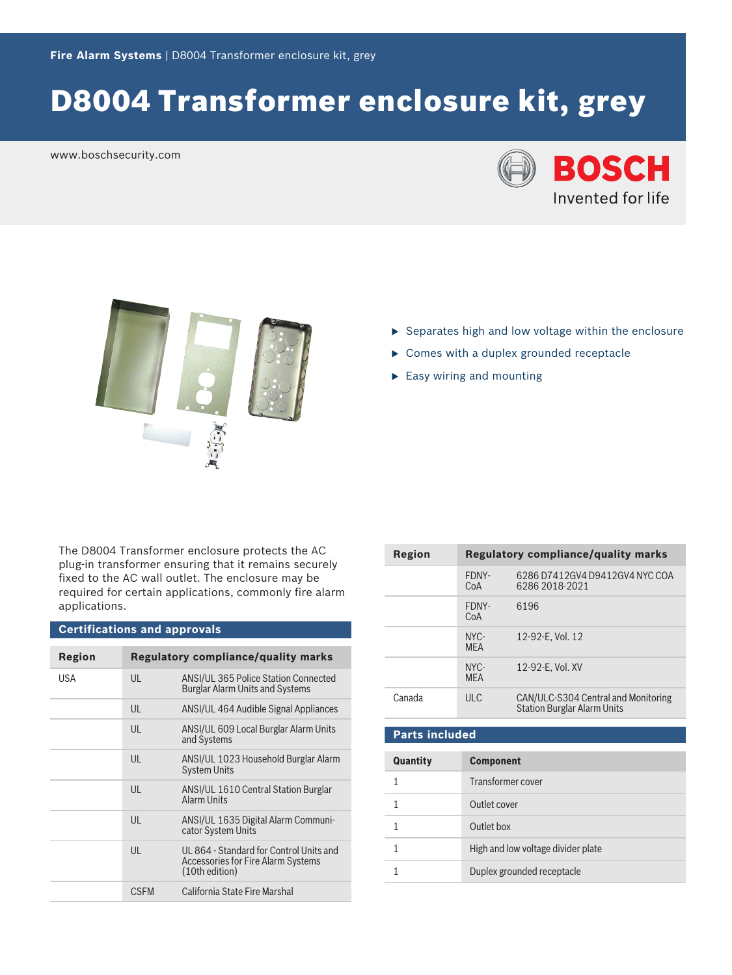# D8004 Transformer enclosure kit, grey

www.boschsecurity.com





- $\triangleright$  Separates high and low voltage within the enclosure
- $\triangleright$  Comes with a duplex grounded receptacle
- $\blacktriangleright$  Easy wiring and mounting

The D8004 Transformer enclosure protects the AC plug‑in transformer ensuring that it remains securely fixed to the AC wall outlet. The enclosure may be required for certain applications, commonly fire alarm applications.

# **Certifications and approvals**

| Region |              | <b>Regulatory compliance/quality marks</b>                                                             |
|--------|--------------|--------------------------------------------------------------------------------------------------------|
| USA    | $\mathsf{U}$ | ANSI/UL 365 Police Station Connected<br><b>Burglar Alarm Units and Systems</b>                         |
|        | UL           | ANSI/UL 464 Audible Signal Appliances                                                                  |
|        | $\mathsf{U}$ | ANSI/UL 609 Local Burglar Alarm Units<br>and Systems                                                   |
|        | $\mathsf{U}$ | ANSI/UL 1023 Household Burglar Alarm<br><b>System Units</b>                                            |
|        | $\mathsf{U}$ | ANSI/UL 1610 Central Station Burglar<br>Alarm Units                                                    |
|        | $\mathsf{U}$ | ANSI/UL 1635 Digital Alarm Communi-<br>cator System Units                                              |
|        | $\mathsf{U}$ | UL 864 - Standard for Control Units and<br><b>Accessories for Fire Alarm Systems</b><br>(10th edition) |
|        | <b>CSFM</b>  | California State Fire Marshal                                                                          |

| Region                | <b>Regulatory compliance/quality marks</b> |                                                                           |
|-----------------------|--------------------------------------------|---------------------------------------------------------------------------|
|                       | FDNY-<br>CoA                               | 6286 D7412GV4 D9412GV4 NYC COA<br>6286 2018-2021                          |
|                       | FDNY-<br>CoA                               | 6196                                                                      |
|                       | NYC-<br><b>MFA</b>                         | 12-92-E. Vol. 12                                                          |
|                       | NYC-<br><b>MEA</b>                         | 12-92-E. Vol. XV                                                          |
| Canada                | ULC                                        | CAN/ULC-S304 Central and Monitoring<br><b>Station Burglar Alarm Units</b> |
| <b>Parts included</b> |                                            |                                                                           |

| Quantity | <b>Component</b>                   |
|----------|------------------------------------|
|          | Transformer cover                  |
|          | Outlet cover                       |
|          | Outlet box                         |
|          | High and low voltage divider plate |
|          | Duplex grounded receptacle         |